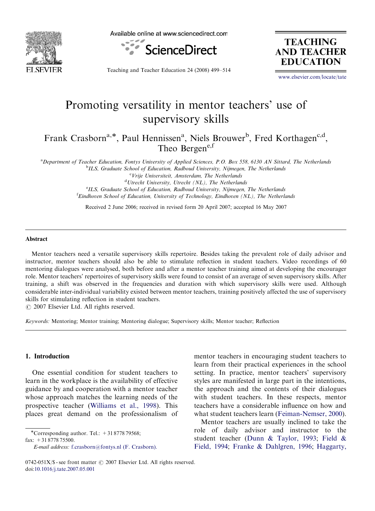

Available online at www.sciencedirect.com



**TEACHING AND TEACHER EDUCATION** 

Teaching and Teacher Education 24 (2008) 499–514

<www.elsevier.com/locate/tate>

# Promoting versatility in mentor teachers' use of supervisory skills

Frank Crasborn<sup>a,\*</sup>, Paul Hennissen<sup>a</sup>, Niels Brouwer<sup>b</sup>, Fred Korthagen<sup>c,d</sup>, Theo Bergene,f

a Department of Teacher Education, Fontys University of Applied Sciences, P.O. Box 558, 6130 AN Sittard, The Netherlands <sup>b</sup>ILS, Graduate School of Education, Radboud University, Nijmegen, The Netherlands

<sup>c</sup>Vrije Universiteit, Amsterdam, The Netherlands <sup>d</sup>Utrecht University, Utrecht (NL), The Netherlands <sup>e</sup>ILS, Graduate School of Education, Radboud University, Nijmegen, The Netherlands <sup>f</sup> Eindhoven School of Education, University of Technology, Eindhoven (NL), The Netherlands

Received 2 June 2006; received in revised form 20 April 2007; accepted 16 May 2007

#### Abstract

Mentor teachers need a versatile supervisory skills repertoire. Besides taking the prevalent role of daily advisor and instructor, mentor teachers should also be able to stimulate reflection in student teachers. Video recordings of 60 mentoring dialogues were analysed, both before and after a mentor teacher training aimed at developing the encourager role. Mentor teachers' repertoires of supervisory skills were found to consist of an average of seven supervisory skills. After training, a shift was observed in the frequencies and duration with which supervisory skills were used. Although considerable inter-individual variability existed between mentor teachers, training positively affected the use of supervisory skills for stimulating reflection in student teachers.

 $\odot$  2007 Elsevier Ltd. All rights reserved.

Keywords: Mentoring; Mentor training; Mentoring dialogue; Supervisory skills; Mentor teacher; Reflection

#### 1. Introduction

One essential condition for student teachers to learn in the workplace is the availability of effective guidance by and cooperation with a mentor teacher whose approach matches the learning needs of the prospective teacher [\(Williams et al., 1998](#page-15-0)). This places great demand on the professionalism of

fax: +31 8778 75500.

mentor teachers in encouraging student teachers to learn from their practical experiences in the school setting. In practice, mentor teachers' supervisory styles are manifested in large part in the intentions, the approach and the contents of their dialogues with student teachers. In these respects, mentor teachers have a considerable influence on how and what student teachers learn [\(Feiman-Nemser, 2000](#page-14-0)).

Mentor teachers are usually inclined to take the role of daily advisor and instructor to the student teacher ([Dunn](#page-14-0) & [Taylor, 1993](#page-14-0); [Field](#page-14-0) & [Field, 1994;](#page-14-0) [Franke](#page-14-0) [& Dahlgren, 1996;](#page-14-0) [Haggarty,](#page-14-0)

<sup>-</sup>Corresponding author. Tel.: +31 8778 79568;

E-mail address: [f.crasborn@fontys.nl \(F. Crasborn\).](mailto:f.crasborn@fontys.nl)

<sup>0742-051</sup>X/\$ - see front matter  $\odot$  2007 Elsevier Ltd. All rights reserved. doi:[10.1016/j.tate.2007.05.001](dx.doi.org/10.1016/j.tate.2007.05.001)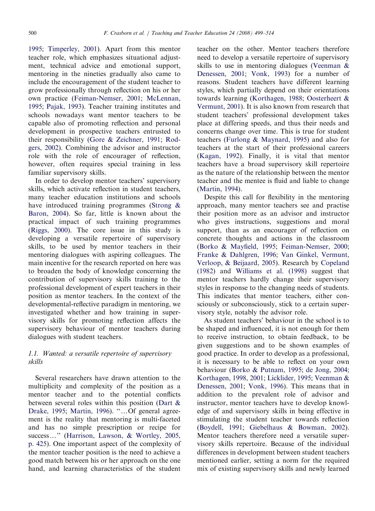[1995](#page-14-0); [Timperley, 2001](#page-15-0)). Apart from this mentor teacher role, which emphasizes situational adjustment, technical advice and emotional support, mentoring in the nineties gradually also came to include the encouragement of the student teacher to grow professionally through reflection on his or her own practice [\(Feiman-Nemser, 2001](#page-14-0); [McLennan,](#page-15-0) [1995](#page-15-0); [Pajak, 1993](#page-15-0)). Teacher training institutes and schools nowadays want mentor teachers to be capable also of promoting reflection and personal development in prospective teachers entrusted to their responsibility [\(Gore & Zeichner, 1991](#page-14-0); [Rod](#page-15-0)[gers, 2002](#page-15-0)). Combining the advisor and instructor role with the role of encourager of reflection, however, often requires special training in less familiar supervisory skills.

In order to develop mentor teachers' supervisory skills, which activate reflection in student teachers, many teacher education institutions and schools have introduced training programmes [\(Strong &](#page-15-0) [Baron, 2004](#page-15-0)). So far, little is known about the practical impact of such training programmes ([Riggs, 2000](#page-15-0)). The core issue in this study is developing a versatile repertoire of supervisory skills, to be used by mentor teachers in their mentoring dialogues with aspiring colleagues. The main incentive for the research reported on here was to broaden the body of knowledge concerning the contribution of supervisory skills training to the professional development of expert teachers in their position as mentor teachers. In the context of the developmental-reflective paradigm in mentoring, we investigated whether and how training in supervisory skills for promoting reflection affects the supervisory behaviour of mentor teachers during dialogues with student teachers.

## 1.1. Wanted: a versatile repertoire of supervisory skills

Several researchers have drawn attention to the multiplicity and complexity of the position as a mentor teacher and to the potential conflicts between several roles within this position [\(Dart &](#page-14-0) [Drake, 1995](#page-14-0); [Martin, 1996](#page-15-0)). "...Of general agreement is the reality that mentoring is multi-faceted and has no simple prescription or recipe for success..." [\(Harrison, Lawson,](#page-14-0) [& Wortley, 2005,](#page-14-0) [p. 425\)](#page-14-0). One important aspect of the complexity of the mentor teacher position is the need to achieve a good match between his or her approach on the one hand, and learning characteristics of the student

teacher on the other. Mentor teachers therefore need to develop a versatile repertoire of supervisory skills to use in mentoring dialogues ([Veenman &](#page-15-0) [Denessen, 2001;](#page-15-0) [Vonk, 1993\)](#page-15-0) for a number of reasons. Student teachers have different learning styles, which partially depend on their orientations towards learning [\(Korthagen, 1988](#page-15-0); [Oosterheert &](#page-15-0) [Vermunt, 2001\)](#page-15-0). It is also known from research that student teachers' professional development takes place at differing speeds, and thus their needs and concerns change over time. This is true for student teachers [\(Furlong](#page-14-0) & [Maynard, 1995\)](#page-14-0) and also for teachers at the start of their professional careers ([Kagan, 1992\)](#page-15-0). Finally, it is vital that mentor teachers have a broad supervisory skill repertoire as the nature of the relationship between the mentor teacher and the mentee is fluid and liable to change ([Martin, 1994\)](#page-15-0).

Despite this call for flexibility in the mentoring approach, many mentor teachers see and practise their position more as an advisor and instructor who gives instructions, suggestions and moral support, than as an encourager of reflection on concrete thoughts and actions in the classroom ([Borko & Mayfield, 1995](#page-14-0); [Feiman-Nemser, 2000;](#page-14-0) [Franke & Dahlgren, 1996](#page-14-0); [Van Ginkel, Vermunt,](#page-15-0) [Verloop,](#page-15-0) & [Beijaard, 2005](#page-15-0)). Research by [Copeland](#page-14-0) [\(1982\)](#page-14-0) and [Williams et al. \(1998\)](#page-15-0) suggest that mentor teachers hardly change their supervisory styles in response to the changing needs of students. This indicates that mentor teachers, either consciously or subconsciously, stick to a certain supervisory style, notably the advisor role.

As student teachers' behaviour in the school is to be shaped and influenced, it is not enough for them to receive instruction, to obtain feedback, to be given suggestions and to be shown examples of good practice. In order to develop as a professional, it is necessary to be able to reflect on your own behaviour [\(Borko & Putnam, 1995](#page-14-0); [de Jong, 2004;](#page-14-0) [Korthagen, 1998, 2001;](#page-15-0) [Licklider, 1995;](#page-15-0) [Veenman &](#page-15-0) [Denessen, 2001;](#page-15-0) [Vonk, 1996\)](#page-15-0). This means that in addition to the prevalent role of advisor and instructor, mentor teachers have to develop knowledge of and supervisory skills in being effective in stimulating the student teacher towards reflection ([Boydell, 1991](#page-14-0); [Giebelhaus & Bowman, 2002](#page-14-0)). Mentor teachers therefore need a versatile supervisory skills repertoire. Because of the individual differences in development between student teachers mentioned earlier, setting a norm for the required mix of existing supervisory skills and newly learned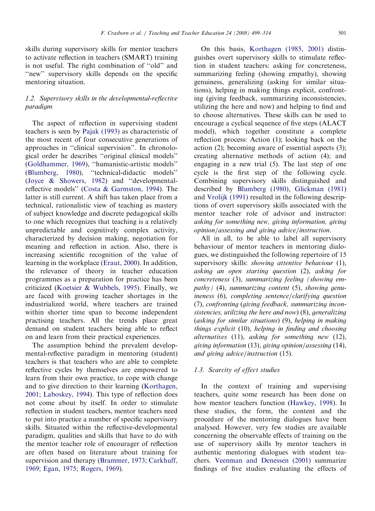skills during supervisory skills for mentor teachers to activate reflection in teachers (SMART) training is not useful. The right combination of ''old'' and "new" supervisory skills depends on the specific mentoring situation.

# 1.2. Supervisory skills in the developmental-reflective paradigm

The aspect of reflection in supervising student teachers is seen by [Pajak \(1993\)](#page-15-0) as characteristic of the most recent of four consecutive generations of approaches in ''clinical supervision''. In chronological order he describes ''original clinical models'' [\(Goldhammer, 1969\)](#page-14-0), ''humanistic-artistic models'' [\(Blumberg, 1980](#page-13-0)), ''technical-didactic models'' [\(Joyce](#page-15-0) [& Showers, 1982\)](#page-15-0) and ''developmentalreflective models'' [\(Costa](#page-14-0) & [Garmston, 1994\)](#page-14-0). The latter is still current. A shift has taken place from a technical, rationalistic view of teaching as mastery of subject knowledge and discrete pedagogical skills to one which recognizes that teaching is a relatively unpredictable and cognitively complex activity, characterized by decision making, negotiation for meaning and reflection in action. Also, there is increasing scientific recognition of the value of learning in the workplace ([Eraut, 2000](#page-14-0)). In addition, the relevance of theory in teacher education programmes as a preparation for practice has been criticized ([Koetsier](#page-15-0) & [Wubbels, 1995](#page-15-0)). Finally, we are faced with growing teacher shortages in the industrialized world, where teachers are trained within shorter time span to become independent practising teachers. All the trends place great demand on student teachers being able to reflect on and learn from their practical experiences.

The assumption behind the prevalent developmental-reflective paradigm in mentoring (student) teachers is that teachers who are able to complete reflective cycles by themselves are empowered to learn from their own practice, to cope with change and to give direction to their learning [\(Korthagen,](#page-15-0) [2001;](#page-15-0) [Laboskey, 1994](#page-15-0)). This type of reflection does not come about by itself. In order to stimulate reflection in student teachers, mentor teachers need to put into practice a number of specific supervisory skills. Situated within the reflective-developmental paradigm, qualities and skills that have to do with the mentor teacher role of encourager of reflection are often based on literature about training for supervision and therapy [\(Brammer, 1973;](#page-14-0) [Carkhuff,](#page-14-0) [1969;](#page-14-0) [Egan, 1975;](#page-14-0) [Rogers, 1969](#page-15-0)).

On this basis, [Korthagen \(1985, 2001\)](#page-15-0) distinguishes overt supervisory skills to stimulate reflection in student teachers: asking for concreteness, summarizing feeling (showing empathy), showing genuiness, generalizing (asking for similar situations), helping in making things explicit, confronting (giving feedback, summarizing inconsistencies, utilizing the here and now) and helping to find and to choose alternatives. These skills can be used to encourage a cyclical sequence of five steps (ALACT model), which together constitute a complete reflection process: Action (1); looking back on the action (2); becoming aware of essential aspects (3); creating alternative methods of action (4); and engaging in a new trial (5). The last step of one cycle is the first step of the following cycle. Combining supervisory skills distinguished and described by [Blumberg \(1980\)](#page-13-0), [Glickman \(1981\)](#page-14-0) and [Vrolijk \(1991\)](#page-15-0) resulted in the following descriptions of overt supervisory skills associated with the mentor teacher role of advisor and instructor: asking for something new, giving information, giving opinion/assessing and giving advice/instruction.

All in all, to be able to label all supervisory behaviour of mentor teachers in mentoring dialogues, we distinguished the following repertoire of 15 supervisory skills: *showing attentive behaviour* (1), asking an open starting question (2), asking for concreteness (3), summarizing feeling (showing empathy) (4), summarizing content (5), showing genuineness (6), completing sentence/clarifying question (7), confronting (giving feedback, summarizing inconsistencies, utilizing the here and now) (8), generalizing (asking for similar situations) (9), helping in making things explicit (10), helping in finding and choosing alternatives (11), asking for something new (12), giving information (13), giving opinion/assessing (14), and giving advice/instruction (15).

## 1.3. Scarcity of effect studies

In the context of training and supervising teachers, quite some research has been done on how mentor teachers function [\(Hawkey, 1998\)](#page-14-0). In these studies, the form, the content and the procedure of the mentoring dialogues have been analysed. However, very few studies are available concerning the observable effects of training on the use of supervisory skills by mentor teachers in authentic mentoring dialogues with student teachers. [Veenman and Denessen \(2001\)](#page-15-0) summarize findings of five studies evaluating the effects of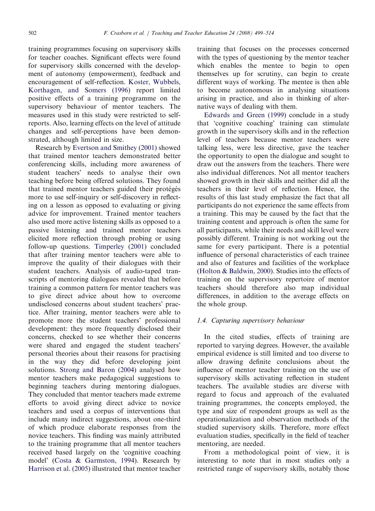training programmes focusing on supervisory skills for teacher coaches. Significant effects were found for supervisory skills concerned with the development of autonomy (empowerment), feedback and encouragement of self-reflection. [Koster, Wubbels,](#page-15-0) [Korthagen, and Somers \(1996\)](#page-15-0) report limited positive effects of a training programme on the supervisory behaviour of mentor teachers. The measures used in this study were restricted to selfreports. Also, learning effects on the level of attitude changes and self-perceptions have been demonstrated, although limited in size.

Research by [Evertson and Smithey \(2001\)](#page-14-0) showed that trained mentor teachers demonstrated better conferencing skills, including more awareness of student teachers' needs to analyse their own teaching before being offered solutions. They found that trained mentor teachers guided their protégés more to use self-inquiry or self-discovery in reflecting on a lesson as opposed to evaluating or giving advice for improvement. Trained mentor teachers also used more active listening skills as opposed to a passive listening and trained mentor teachers elicited more reflection through probing or using follow-up questions. [Timperley \(2001\)](#page-15-0) concluded that after training mentor teachers were able to improve the quality of their dialogues with their student teachers. Analysis of audio-taped transcripts of mentoring dialogues revealed that before training a common pattern for mentor teachers was to give direct advice about how to overcome undisclosed concerns about student teachers' practice. After training, mentor teachers were able to promote more the student teachers' professional development: they more frequently disclosed their concerns, checked to see whether their concerns were shared and engaged the student teachers' personal theories about their reasons for practising in the way they did before developing joint solutions. [Strong and Baron \(2004\)](#page-15-0) analysed how mentor teachers make pedagogical suggestions to beginning teachers during mentoring dialogues. They concluded that mentor teachers made extreme efforts to avoid giving direct advice to novice teachers and used a corpus of interventions that include many indirect suggestions, about one-third of which produce elaborate responses from the novice teachers. This finding was mainly attributed to the training programme that all mentor teachers received based largely on the 'cognitive coaching model' [\(Costa & Garmston, 1994](#page-14-0)). Research by [Harrison et al. \(2005\)](#page-14-0) illustrated that mentor teacher

training that focuses on the processes concerned with the types of questioning by the mentor teacher which enables the mentee to begin to open themselves up for scrutiny, can begin to create different ways of working. The mentee is then able to become autonomous in analysing situations arising in practice, and also in thinking of alternative ways of dealing with them.

[Edwards and Green \(1999\)](#page-14-0) conclude in a study that 'cognitive coaching' training can stimulate growth in the supervisory skills and in the reflection level of teachers because mentor teachers were talking less, were less directive, gave the teacher the opportunity to open the dialogue and sought to draw out the answers from the teachers. There were also individual differences. Not all mentor teachers showed growth in their skills and neither did all the teachers in their level of reflection. Hence, the results of this last study emphasize the fact that all participants do not experience the same effects from a training. This may be caused by the fact that the training content and approach is often the same for all participants, while their needs and skill level were possibly different. Training is not working out the same for every participant. There is a potential influence of personal characteristics of each trainee and also of features and facilities of the workplace ([Holton & Baldwin, 2000\)](#page-14-0). Studies into the effects of training on the supervisory repertoire of mentor teachers should therefore also map individual differences, in addition to the average effects on the whole group.

## 1.4. Capturing supervisory behaviour

In the cited studies, effects of training are reported to varying degrees. However, the available empirical evidence is still limited and too diverse to allow drawing definite conclusions about the influence of mentor teacher training on the use of supervisory skills activating reflection in student teachers. The available studies are diverse with regard to focus and approach of the evaluated training programmes, the concepts employed, the type and size of respondent groups as well as the operationalization and observation methods of the studied supervisory skills. Therefore, more effect evaluation studies, specifically in the field of teacher mentoring, are needed.

From a methodological point of view, it is interesting to note that in most studies only a restricted range of supervisory skills, notably those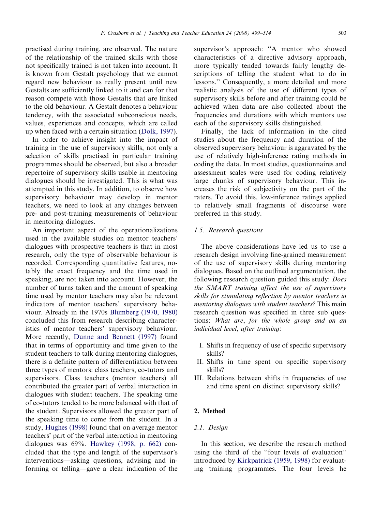practised during training, are observed. The nature of the relationship of the trained skills with those not specifically trained is not taken into account. It is known from Gestalt psychology that we cannot regard new behaviour as really present until new Gestalts are sufficiently linked to it and can for that reason compete with those Gestalts that are linked to the old behaviour. A Gestalt denotes a behaviour tendency, with the associated subconscious needs, values, experiences and concepts, which are called up when faced with a certain situation ([Dolk, 1997\)](#page-14-0).

In order to achieve insight into the impact of training in the use of supervisory skills, not only a selection of skills practised in particular training programmes should be observed, but also a broader repertoire of supervisory skills usable in mentoring dialogues should be investigated. This is what was attempted in this study. In addition, to observe how supervisory behaviour may develop in mentor teachers, we need to look at any changes between pre- and post-training measurements of behaviour in mentoring dialogues.

An important aspect of the operationalizations used in the available studies on mentor teachers' dialogues with prospective teachers is that in most research, only the type of observable behaviour is recorded. Corresponding quantitative features, notably the exact frequency and the time used in speaking, are not taken into account. However, the number of turns taken and the amount of speaking time used by mentor teachers may also be relevant indicators of mentor teachers' supervisory behaviour. Already in the 1970s [Blumberg \(1970, 1980\)](#page-13-0) concluded this from research describing characteristics of mentor teachers' supervisory behaviour. More recently, [Dunne and Bennett \(1997\)](#page-14-0) found that in terms of opportunity and time given to the student teachers to talk during mentoring dialogues, there is a definite pattern of differentiation between three types of mentors: class teachers, co-tutors and supervisors. Class teachers (mentor teachers) all contributed the greater part of verbal interaction in dialogues with student teachers. The speaking time of co-tutors tended to be more balanced with that of the student. Supervisors allowed the greater part of the speaking time to come from the student. In a study, [Hughes \(1998\)](#page-14-0) found that on average mentor teachers' part of the verbal interaction in mentoring dialogues was 69%. [Hawkey \(1998, p. 662\)](#page-14-0) concluded that the type and length of the supervisor's interventions—asking questions, advising and informing or telling—gave a clear indication of the

supervisor's approach: ''A mentor who showed characteristics of a directive advisory approach, more typically tended towards fairly lengthy descriptions of telling the student what to do in lessons.'' Consequently, a more detailed and more realistic analysis of the use of different types of supervisory skills before and after training could be achieved when data are also collected about the frequencies and durations with which mentors use each of the supervisory skills distinguished.

Finally, the lack of information in the cited studies about the frequency and duration of the observed supervisory behaviour is aggravated by the use of relatively high-inference rating methods in coding the data. In most studies, questionnaires and assessment scales were used for coding relatively large chunks of supervisory behaviour. This increases the risk of subjectivity on the part of the raters. To avoid this, low-inference ratings applied to relatively small fragments of discourse were preferred in this study.

## 1.5. Research questions

The above considerations have led us to use a research design involving fine-grained measurement of the use of supervisory skills during mentoring dialogues. Based on the outlined argumentation, the following research question guided this study: Does the SMART training affect the use of supervisory skills for stimulating reflection by mentor teachers in mentoring dialogues with student teachers? This main research question was specified in three sub questions: What are, for the whole group and on an individual level, after training:

- I. Shifts in frequency of use of specific supervisory skills?
- II. Shifts in time spent on specific supervisory skills?
- III. Relations between shifts in frequencies of use and time spent on distinct supervisory skills?

### 2. Method

#### 2.1. Design

In this section, we describe the research method using the third of the ''four levels of evaluation'' introduced by [Kirkpatrick \(1959, 1998\)](#page-15-0) for evaluating training programmes. The four levels he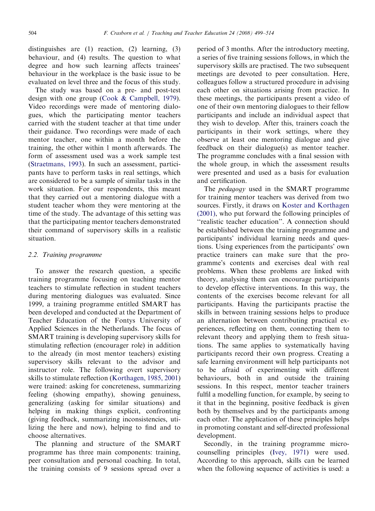distinguishes are (1) reaction, (2) learning, (3) behaviour, and (4) results. The question to what degree and how such learning affects trainees' behaviour in the workplace is the basic issue to be evaluated on level three and the focus of this study.

The study was based on a pre- and post-test design with one group [\(Cook](#page-14-0) & [Campbell, 1979](#page-14-0)). Video recordings were made of mentoring dialogues, which the participating mentor teachers carried with the student teacher at that time under their guidance. Two recordings were made of each mentor teacher, one within a month before the training, the other within 1 month afterwards. The form of assessment used was a work sample test ([Straetmans, 1993\)](#page-15-0). In such an assessment, participants have to perform tasks in real settings, which are considered to be a sample of similar tasks in the work situation. For our respondents, this meant that they carried out a mentoring dialogue with a student teacher whom they were mentoring at the time of the study. The advantage of this setting was that the participating mentor teachers demonstrated their command of supervisory skills in a realistic situation.

#### 2.2. Training programme

To answer the research question, a specific training programme focusing on teaching mentor teachers to stimulate reflection in student teachers during mentoring dialogues was evaluated. Since 1999, a training programme entitled SMART has been developed and conducted at the Department of Teacher Education of the Fontys University of Applied Sciences in the Netherlands. The focus of SMART training is developing supervisory skills for stimulating reflection (encourager role) in addition to the already (in most mentor teachers) existing supervisory skills relevant to the advisor and instructor role. The following overt supervisory skills to stimulate reflection ([Korthagen, 1985, 2001\)](#page-15-0) were trained: asking for concreteness, summarizing feeling (showing empathy), showing genuiness, generalizing (asking for similar situations) and helping in making things explicit, confronting (giving feedback, summarizing inconsistencies, utilizing the here and now), helping to find and to choose alternatives.

The planning and structure of the SMART programme has three main components: training, peer consultation and personal coaching. In total, the training consists of 9 sessions spread over a

period of 3 months. After the introductory meeting, a series of five training sessions follows, in which the supervisory skills are practised. The two subsequent meetings are devoted to peer consultation. Here, colleagues follow a structured procedure in advising each other on situations arising from practice. In these meetings, the participants present a video of one of their own mentoring dialogues to their fellow participants and include an individual aspect that they wish to develop. After this, trainers coach the participants in their work settings, where they observe at least one mentoring dialogue and give feedback on their dialogue(s) as mentor teacher. The programme concludes with a final session with the whole group, in which the assessment results were presented and used as a basis for evaluation and certification.

The *pedagogy* used in the SMART programme for training mentor teachers was derived from two sources. Firstly, it draws on [Koster and Korthagen](#page-15-0) [\(2001\),](#page-15-0) who put forward the following principles of "realistic teacher education". A connection should be established between the training programme and participants' individual learning needs and questions. Using experiences from the participants' own practice trainers can make sure that the programme's contents and exercises deal with real problems. When these problems are linked with theory, analysing them can encourage participants to develop effective interventions. In this way, the contents of the exercises become relevant for all participants. Having the participants practise the skills in between training sessions helps to produce an alternation between contributing practical experiences, reflecting on them, connecting them to relevant theory and applying them to fresh situations. The same applies to systematically having participants record their own progress. Creating a safe learning environment will help participants not to be afraid of experimenting with different behaviours, both in and outside the training sessions. In this respect, mentor teacher trainers fulfil a modelling function, for example, by seeing to it that in the beginning, positive feedback is given both by themselves and by the participants among each other. The application of these principles helps in promoting constant and self-directed professional development.

Secondly, in the training programme microcounselling principles ([Ivey, 1971](#page-14-0)) were used. According to this approach, skills can be learned when the following sequence of activities is used: a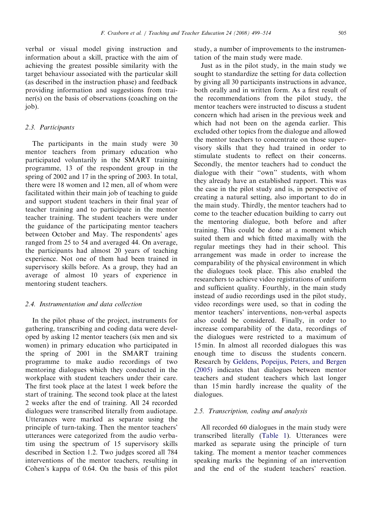verbal or visual model giving instruction and information about a skill, practice with the aim of achieving the greatest possible similarity with the target behaviour associated with the particular skill (as described in the instruction phase) and feedback providing information and suggestions from trainer(s) on the basis of observations (coaching on the job).

# 2.3. Participants

The participants in the main study were 30 mentor teachers from primary education who participated voluntarily in the SMART training programme, 13 of the respondent group in the spring of 2002 and 17 in the spring of 2003. In total, there were 18 women and 12 men, all of whom were facilitated within their main job of teaching to guide and support student teachers in their final year of teacher training and to participate in the mentor teacher training. The student teachers were under the guidance of the participating mentor teachers between October and May. The respondents' ages ranged from 25 to 54 and averaged 44. On average, the participants had almost 20 years of teaching experience. Not one of them had been trained in supervisory skills before. As a group, they had an average of almost 10 years of experience in mentoring student teachers.

# 2.4. Instrumentation and data collection

In the pilot phase of the project, instruments for gathering, transcribing and coding data were developed by asking 12 mentor teachers (six men and six women) in primary education who participated in the spring of 2001 in the SMART training programme to make audio recordings of two mentoring dialogues which they conducted in the workplace with student teachers under their care. The first took place at the latest 1 week before the start of training. The second took place at the latest 2 weeks after the end of training. All 24 recorded dialogues were transcribed literally from audiotape. Utterances were marked as separate using the principle of turn-taking. Then the mentor teachers' utterances were categorized from the audio verbatim using the spectrum of 15 supervisory skills described in Section 1.2. Two judges scored all 784 interventions of the mentor teachers, resulting in Cohen's kappa of 0.64. On the basis of this pilot study, a number of improvements to the instrumentation of the main study were made.

Just as in the pilot study, in the main study we sought to standardize the setting for data collection by giving all 30 participants instructions in advance, both orally and in written form. As a first result of the recommendations from the pilot study, the mentor teachers were instructed to discuss a student concern which had arisen in the previous week and which had not been on the agenda earlier. This excluded other topics from the dialogue and allowed the mentor teachers to concentrate on those supervisory skills that they had trained in order to stimulate students to reflect on their concerns. Secondly, the mentor teachers had to conduct the dialogue with their ''own'' students, with whom they already have an established rapport. This was the case in the pilot study and is, in perspective of creating a natural setting, also important to do in the main study. Thirdly, the mentor teachers had to come to the teacher education building to carry out the mentoring dialogue, both before and after training. This could be done at a moment which suited them and which fitted maximally with the regular meetings they had in their school. This arrangement was made in order to increase the comparability of the physical environment in which the dialogues took place. This also enabled the researchers to achieve video registrations of uniform and sufficient quality. Fourthly, in the main study instead of audio recordings used in the pilot study, video recordings were used, so that in coding the mentor teachers' interventions, non-verbal aspects also could be considered. Finally, in order to increase comparability of the data, recordings of the dialogues were restricted to a maximum of 15 min. In almost all recorded dialogues this was enough time to discuss the students concern. Research by [Geldens, Popeijus, Peters, and Bergen](#page-14-0) [\(2005\)](#page-14-0) indicates that dialogues between mentor teachers and student teachers which last longer than 15 min hardly increase the quality of the dialogues.

## 2.5. Transcription, coding and analysis

All recorded 60 dialogues in the main study were transcribed literally [\(Table 1\)](#page-7-0). Utterances were marked as separate using the principle of turn taking. The moment a mentor teacher commences speaking marks the beginning of an intervention and the end of the student teachers' reaction.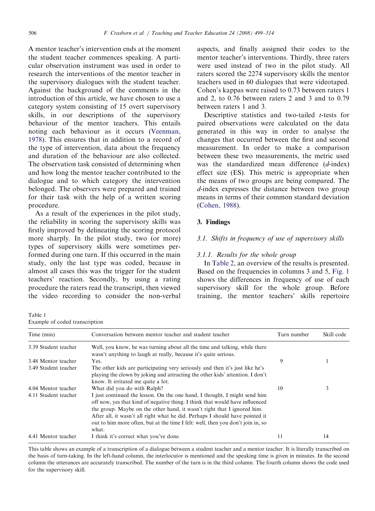<span id="page-7-0"></span>A mentor teacher's intervention ends at the moment the student teacher commences speaking. A particular observation instrument was used in order to research the interventions of the mentor teacher in the supervisory dialogues with the student teacher. Against the background of the comments in the introduction of this article, we have chosen to use a category system consisting of 15 overt supervisory skills, in our descriptions of the supervisory behaviour of the mentor teachers. This entails noting each behaviour as it occurs [\(Veenman,](#page-15-0) [1978](#page-15-0)). This ensures that in addition to a record of the type of intervention, data about the frequency and duration of the behaviour are also collected. The observation task consisted of determining when and how long the mentor teacher contributed to the dialogue and to which category the intervention belonged. The observers were prepared and trained for their task with the help of a written scoring procedure.

As a result of the experiences in the pilot study, the reliability in scoring the supervisory skills was firstly improved by delineating the scoring protocol more sharply. In the pilot study, two (or more) types of supervisory skills were sometimes performed during one turn. If this occurred in the main study, only the last type was coded, because in almost all cases this was the trigger for the student teachers' reaction. Secondly, by using a rating procedure the raters read the transcript, then viewed the video recording to consider the non-verbal

Table 1 Example of coded transcription

aspects, and finally assigned their codes to the mentor teacher's interventions. Thirdly, three raters were used instead of two in the pilot study. All raters scored the 2274 supervisory skills the mentor teachers used in 60 dialogues that were videotaped. Cohen's kappas were raised to 0.73 between raters 1 and 2, to 0.76 between raters 2 and 3 and to 0.79 between raters 1 and 3.

Descriptive statistics and two-tailed *t*-tests for paired observations were calculated on the data generated in this way in order to analyse the changes that occurred between the first and second measurement. In order to make a comparison between these two measurements, the metric used was the standardized mean difference (d-index) effect size (ES). This metric is appropriate when the means of two groups are being compared. The d-index expresses the distance between two group means in terms of their common standard deviation ([Cohen, 1988\)](#page-14-0).

### 3. Findings

### 3.1. Shifts in frequency of use of supervisory skills

#### 3.1.1. Results for the whole group

In [Table 2,](#page-8-0) an overview of the results is presented. Based on the frequencies in columns 3 and 5, [Fig. 1](#page-9-0) shows the differences in frequency of use of each supervisory skill for the whole group. Before training, the mentor teachers' skills repertoire

| Time (min)           | Conversation between mentor teacher and student teacher                                                                                                                                                                                                                                                                                                                                                          | Turn number | Skill code |
|----------------------|------------------------------------------------------------------------------------------------------------------------------------------------------------------------------------------------------------------------------------------------------------------------------------------------------------------------------------------------------------------------------------------------------------------|-------------|------------|
| 3.39 Student teacher | Well, you know, he was turning about all the time and talking, while there<br>wasn't anything to laugh at really, because it's quite serious.                                                                                                                                                                                                                                                                    |             |            |
| 3.48 Mentor teacher  | Yes.                                                                                                                                                                                                                                                                                                                                                                                                             | 9           |            |
| 3.49 Student teacher | The other kids are participating very seriously and then it's just like he's<br>playing the clown by joking and attracting the other kids' attention. I don't<br>know. It irritated me quite a lot.                                                                                                                                                                                                              |             |            |
| 4.04 Mentor teacher  | What did you do with Ralph?                                                                                                                                                                                                                                                                                                                                                                                      | 10          | 3          |
| 4.11 Student teacher | I just continued the lesson. On the one hand, I thought, I might send him<br>off now, yes that kind of negative thing. I think that would have influenced<br>the group. Maybe on the other hand, it wasn't right that I ignored him.<br>After all, it wasn't all right what he did. Perhaps I should have pointed it<br>out to him more often, but at the time I felt: well, then you don't join in, so<br>what. |             |            |
| 4.41 Mentor teacher  | I think it's correct what you've done.                                                                                                                                                                                                                                                                                                                                                                           | 11          | 14         |

This table shows an example of a transcription of a dialogue between a student teacher and a mentor teacher. It is literally transcribed on the basis of turn-taking. In the left-hand column, the interlocutor is mentioned and the speaking time is given in minutes. In the second column the utterances are accurately transcribed. The number of the turn is in the third column. The fourth column shows the code used for the supervisory skill.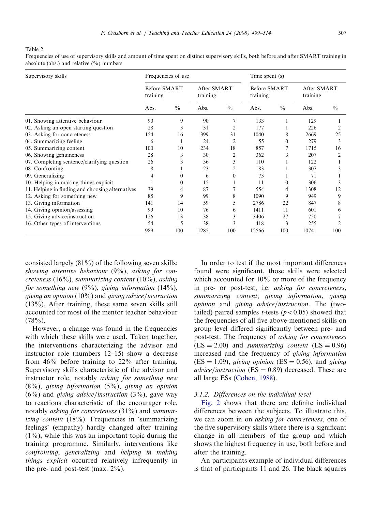<span id="page-8-0"></span>Table 2

Frequencies of use of supervisory skills and amount of time spent on distinct supervisory skills, both before and after SMART training in absolute (abs.) and relative  $(\frac{9}{0})$  numbers

| Supervisory skills                               | Frequencies of use       |               |                         |               | Time spent (s)           |               |                         |               |
|--------------------------------------------------|--------------------------|---------------|-------------------------|---------------|--------------------------|---------------|-------------------------|---------------|
|                                                  | Before SMART<br>training |               | After SMART<br>training |               | Before SMART<br>training |               | After SMART<br>training |               |
|                                                  | Abs.                     | $\frac{0}{0}$ | Abs.                    | $\frac{0}{0}$ | Abs.                     | $\frac{0}{0}$ | Abs.                    | $\frac{0}{0}$ |
| 01. Showing attentive behaviour                  | 90                       | 9             | 90                      |               | 133                      |               | 129                     |               |
| 02. Asking an open starting question             | 28                       | 3             | 31                      | 2             | 177                      |               | 226                     |               |
| 03. Asking for concreteness                      | 154                      | 16            | 399                     | 31            | 1040                     | 8             | 2669                    | 25            |
| 04. Summarizing feeling                          | 6                        | 1             | 24                      | 2             | 55                       | $\theta$      | 279                     | 3             |
| 05. Summarizing content                          | 100                      | 10            | 234                     | 18            | 857                      |               | 1715                    | 16            |
| 06. Showing genuineness                          | 28                       | 3             | 30                      | 2             | 362                      | 3             | 207                     |               |
| 07. Completing sentence/clarifying question      | 26                       | 3             | 36                      | 3             | 110                      |               | 122                     |               |
| 08. Confronting                                  | 8                        |               | 23                      |               | 83                       |               | 307                     |               |
| 09. Generalizing                                 |                          | $\Omega$      | 6                       | $\Omega$      | 73                       |               | 71                      |               |
| 10. Helping in making things explicit            |                          | $\Omega$      | 15                      |               | 11                       | $\Omega$      | 306                     |               |
| 11. Helping in finding and choosing alternatives | 39                       | 4             | 87                      |               | 554                      | 4             | 1308                    | 12            |
| 12. Asking for something new                     | 85                       | 9             | 99                      | 8             | 1090                     | 9             | 949                     | 9             |
| 13. Giving information                           | 141                      | 14            | 59                      | 5.            | 2786                     | 22            | 847                     | 8             |
| 14. Giving opinion/assessing                     | 99                       | 10            | 76                      | 6             | 1411                     | 11            | 601                     | 6             |
| 15. Giving advice/instruction                    | 126                      | 13            | 38                      | 3             | 3406                     | 27            | 750                     |               |
| 16. Other types of interventions                 | 54                       | 5             | 38                      | 3             | 418                      | 3             | 255                     |               |
|                                                  | 989                      | 100           | 1285                    | 100           | 12566                    | 100           | 10741                   | 100           |

consisted largely (81%) of the following seven skills: showing attentive behaviour  $(9\%)$ , asking for concreteness  $(16\%)$ , summarizing content  $(10\%)$ , asking for something new  $(9\%)$ , giving information  $(14\%)$ , giving an opinion (10%) and giving advice/instruction (13%). After training, these same seven skills still accounted for most of the mentor teacher behaviour  $(78\%)$ .

However, a change was found in the frequencies with which these skills were used. Taken together, the interventions characterizing the advisor and instructor role (numbers 12–15) show a decrease from 46% before training to 22% after training. Supervisory skills characteristic of the advisor and instructor role, notably asking for something new  $(8\%)$ , giving information  $(5\%)$ , giving an opinion  $(6%)$  and *giving advice/instruction*  $(3%)$ , gave way to reactions characteristic of the encourager role, notably asking for concreteness (31%) and summarizing content (18%). Frequencies in 'summarizing feelings' (empathy) hardly changed after training  $(1\%)$ , while this was an important topic during the training programme. Similarly, interventions like confronting, generalizing and helping in making things explicit occurred relatively infrequently in the pre- and post-test (max.  $2\%$ ).

In order to test if the most important differences found were significant, those skills were selected which accounted for 10% or more of the frequency in pre- or post-test, i.e. asking for concreteness, summarizing content, giving information, giving opinion and giving advice/instruction. The (twotailed) paired samples *t*-tests ( $p < 0.05$ ) showed that the frequencies of all five above-mentioned skills on group level differed significantly between pre- and post-test. The frequency of asking for concreteness  $(ES = 2.00)$  and summarizing content  $(ES = 0.96)$ increased and the frequency of giving information  $(ES = 1.09)$ , giving opinion  $(ES = 0.56)$ , and giving *advice/instruction* ( $ES = 0.89$ ) decreased. These are all large ESs ([Cohen, 1988\)](#page-14-0).

#### 3.1.2. Differences on the individual level

[Fig. 2](#page-9-0) shows that there are definite individual differences between the subjects. To illustrate this, we can zoom in on *asking for concreteness*, one of the five supervisory skills where there is a significant change in all members of the group and which shows the highest frequency in use, both before and after the training.

An participants example of individual differences is that of participants 11 and 26. The black squares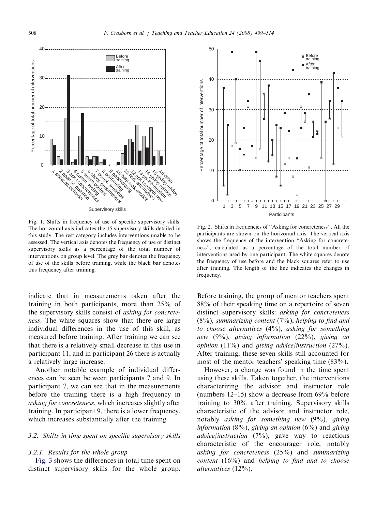<span id="page-9-0"></span>

Fig. 1. Shifts in frequency of use of specific supervisory skills. The horizontal axis indicates the 15 supervisory skills detailed in this study. The rest category includes interventions unable to be assessed. The vertical axis denotes the frequency of use of distinct supervisory skills as a percentage of the total number of interventions on group level. The grey bar denotes the frequency of use of the skills before training, while the black bar denotes this frequency after training.

indicate that in measurements taken after the training in both participants, more than 25% of the supervisory skills consist of asking for concreteness. The white squares show that there are large individual differences in the use of this skill, as measured before training. After training we can see that there is a relatively small decrease in this use in participant 11, and in participant 26 there is actually a relatively large increase.

Another notable example of individual differences can be seen between participants 7 and 9. In participant 7, we can see that in the measurements before the training there is a high frequency in asking for concreteness, which increases slightly after training. In participant 9, there is a lower frequency, which increases substantially after the training.

### 3.2. Shifts in time spent on specific supervisory skills

#### 3.2.1. Results for the whole group

[Fig. 3](#page-10-0) shows the differences in total time spent on distinct supervisory skills for the whole group.



Fig. 2. Shifts in frequencies of ''Asking for concreteness''. All the participants are shown on the horizontal axis. The vertical axis shows the frequency of the intervention ''Asking for concreteness'', calculated as a percentage of the total number of interventions used by one participant. The white squares denote the frequency of use before and the black squares refer to use after training. The length of the line indicates the changes in frequency.

Before training, the group of mentor teachers spent 88% of their speaking time on a repertoire of seven distinct supervisory skills: *asking for concreteness*  $(8\%)$ , summarizing content  $(7\%)$ , helping to find and to choose alternatives  $(4\%)$ , asking for something new  $(9\%)$ , giving information  $(22\%)$ , giving an *opinion* (11%) and *giving advice/instruction* (27%). After training, these seven skills still accounted for most of the mentor teachers' speaking time (83%).

However, a change was found in the time spent using these skills. Taken together, the interventions characterizing the advisor and instructor role (numbers 12–15) show a decrease from 69% before training to 30% after training. Supervisory skills characteristic of the advisor and instructor role, notably asking for something new (9%), giving information  $(8\%)$ , giving an opinion  $(6\%)$  and giving *advice/instruction* (7%), gave way to reactions characteristic of the encourager role, notably asking for concreteness (25%) and summarizing content  $(16\%)$  and helping to find and to choose alternatives (12%).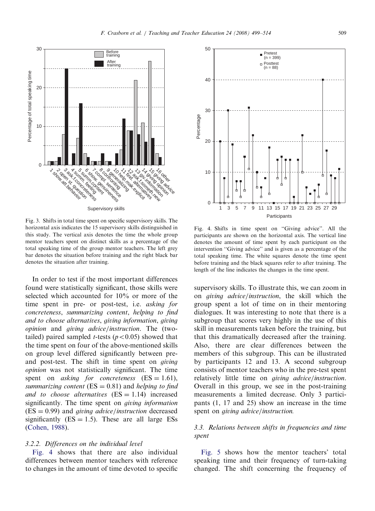<span id="page-10-0"></span>30 Before training After training Percentage of total speaking time Percentage of total speaking time  $20$  $10$ **Sant Primitive Service**  $\Omega$ **ter**<br>the theoretical time of interpretation on 4 summ. feeling 5 summ.content 6 show. genuineness Transportant<br>1 complete discrete<br>1 complete discrete discrete discrete discrete 1 show.att.behavior 2 open st. question 1 fr: 12 ask.<br>13 giv.information<br>13 giv.information<br>13 giv.information 1<sub>4</sub> 1<sub>5</sub> 1<sub>6</sub><br>1<sub>1</sub> given op<br>11 given <sup>op</sup>inie<br>1<sub>6</sub> given die op  $\phi$ Supervisory skills

Fig. 3. Shifts in total time spent on specific supervisory skills. The horizontal axis indicates the 15 supervisory skills distinguished in this study. The vertical axis denotes the time the whole group mentor teachers spent on distinct skills as a percentage of the total speaking time of the group mentor teachers. The left grey bar denotes the situation before training and the right black bar denotes the situation after training.

In order to test if the most important differences found were statistically significant, those skills were selected which accounted for 10% or more of the time spent in pre- or post-test, i.e. asking for concreteness, summarizing content, helping to find and to choose alternatives, giving information, giving opinion and giving advice/instruction. The (twotailed) paired sampled *t*-tests ( $p < 0.05$ ) showed that the time spent on four of the above-mentioned skills on group level differed significantly between preand post-test. The shift in time spent on giving opinion was not statistically significant. The time spent on *asking for concreteness*  $(ES = 1.61)$ , summarizing content ( $ES = 0.81$ ) and helping to find and to choose alternatives  $(ES = 1.14)$  increased significantly. The time spent on giving information  $(ES = 0.99)$  and *giving advice/instruction* decreased significantly  $(ES = 1.5)$ . These are all large ESs [\(Cohen, 1988](#page-14-0)).

## 3.2.2. Differences on the individual level

Fig. 4 shows that there are also individual differences between mentor teachers with reference to changes in the amount of time devoted to specific

Fig. 4. Shifts in time spent on ''Giving advice''. All the participants are shown on the horizontal axis. The vertical line denotes the amount of time spent by each participant on the intervention ''Giving advice'' and is given as a percentage of the total speaking time. The white squares denote the time spent before training and the black squares refer to after training. The length of the line indicates the changes in the time spent.

supervisory skills. To illustrate this, we can zoom in on giving advice/instruction, the skill which the group spent a lot of time on in their mentoring dialogues. It was interesting to note that there is a subgroup that scores very highly in the use of this skill in measurements taken before the training, but that this dramatically decreased after the training. Also, there are clear differences between the members of this subgroup. This can be illustrated by participants 12 and 13. A second subgroup consists of mentor teachers who in the pre-test spent relatively little time on *giving advice/instruction*. Overall in this group, we see in the post-training measurements a limited decrease. Only 3 participants (1, 17 and 25) show an increase in the time spent on giving advice/instruction.

# 3.3. Relations between shifts in frequencies and time spent

[Fig. 5](#page-11-0) shows how the mentor teachers' total speaking time and their frequency of turn-taking changed. The shift concerning the frequency of

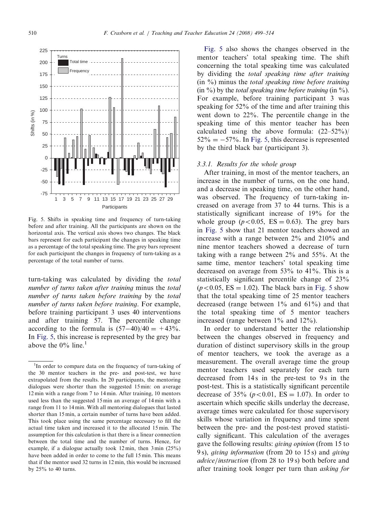<span id="page-11-0"></span>

Fig. 5. Shifts in speaking time and frequency of turn-taking before and after training. All the participants are shown on the horizontal axis. The vertical axis shows two changes. The black bars represent for each participant the changes in speaking time as a percentage of the total speaking time. The grey bars represent for each participant the changes in frequency of turn-taking as a percentage of the total number of turns.

turn-taking was calculated by dividing the total number of turns taken after training minus the total number of turns taken before training by the total number of turns taken before training. For example, before training participant 3 uses 40 interventions and after training 57. The percentile change according to the formula is  $(57-40)/40 = +43\%$ . In Fig. 5, this increase is represented by the grey bar above the  $0\%$  line.<sup>1</sup>

Fig. 5 also shows the changes observed in the mentor teachers' total speaking time. The shift concerning the total speaking time was calculated by dividing the total speaking time after training  $(in \%)$  minus the *total speaking time before training*  $\sin \frac{\theta}{\theta}$  by the total speaking time before training  $\sin \frac{\theta}{\theta}$ . For example, before training participant 3 was speaking for 52% of the time and after training this went down to 22%. The percentile change in the speaking time of this mentor teacher has been calculated using the above formula:  $(22-52\%)$  $52\% = -57\%$ . In Fig. 5, this decrease is represented by the third black bar (participant 3).

### 3.3.1. Results for the whole group

After training, in most of the mentor teachers, an increase in the number of turns, on the one hand, and a decrease in speaking time, on the other hand, was observed. The frequency of turn-taking increased on average from 37 to 44 turns. This is a statistically significant increase of 19% for the whole group ( $p < 0.05$ , ES = 0.63). The grey bars in Fig. 5 show that 21 mentor teachers showed an increase with a range between 2% and 210% and nine mentor teachers showed a decrease of turn taking with a range between 2% and 55%. At the same time, mentor teachers' total speaking time decreased on average from 53% to 41%. This is a statistically significant percentile change of 23%  $(p<0.05, ES = 1.02)$ . The black bars in Fig. 5 show that the total speaking time of 25 mentor teachers decreased (range between  $1\%$  and  $61\%$ ) and that the total speaking time of 5 mentor teachers increased (range between 1% and 12%).

In order to understand better the relationship between the changes observed in frequency and duration of distinct supervisory skills in the group of mentor teachers, we took the average as a measurement. The overall average time the group mentor teachers used separately for each turn decreased from 14s in the pre-test to 9s in the post-test. This is a statistically significant percentile decrease of 35% ( $p < 0.01$ , ES = 1.07). In order to ascertain which specific skills underlay the decrease, average times were calculated for those supervisory skills whose variation in frequency and time spent between the pre- and the post-test proved statistically significant. This calculation of the averages gave the following results: giving opinion (from 15 to 9 s), giving information (from 20 to 15 s) and giving advice/instruction (from 28 to 19 s) both before and after training took longer per turn than asking for

<sup>&</sup>lt;sup>1</sup>In order to compare data on the frequency of turn-taking of the 30 mentor teachers in the pre- and post-test, we have extrapolated from the results. In 20 participants, the mentoring dialogues were shorter than the suggested 15 min: on average 12 min with a range from 7 to 14 min. After training, 10 mentors used less than the suggested 15 min an average of 14 min with a range from 11 to 14 min. With all mentoring dialogues that lasted shorter than 15 min, a certain number of turns have been added. This took place using the same percentage necessary to fill the actual time taken and increased it to the allocated 15 min. The assumption for this calculation is that there is a linear connection between the total time and the number of turns. Hence, for example, if a dialogue actually took 12 min, then 3 min (25%) have been added in order to come to the full 15 min. This means that if the mentor used 32 turns in 12 min, this would be increased by 25% to 40 turns.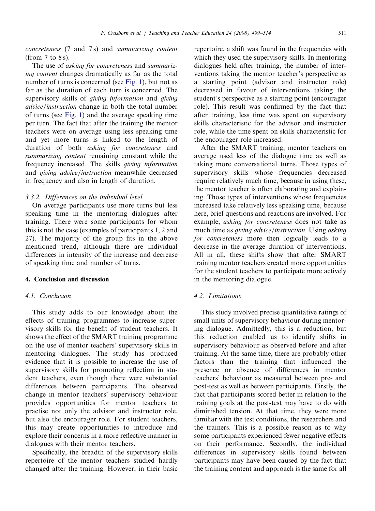concreteness (7 and 7 s) and summarizing content (from  $7$  to  $8$  s).

The use of asking for concreteness and summarizing content changes dramatically as far as the total number of turns is concerned (see [Fig. 1\)](#page-9-0), but not as far as the duration of each turn is concerned. The supervisory skills of giving information and giving advice/instruction change in both the total number of turns (see [Fig. 1\)](#page-9-0) and the average speaking time per turn. The fact that after the training the mentor teachers were on average using less speaking time and yet more turns is linked to the length of duration of both asking for concreteness and summarizing content remaining constant while the frequency increased. The skills giving information and giving advice/instruction meanwhile decreased in frequency and also in length of duration.

#### 3.3.2. Differences on the individual level

On average participants use more turns but less speaking time in the mentoring dialogues after training. There were some participants for whom this is not the case (examples of participants 1, 2 and 27). The majority of the group fits in the above mentioned trend, although there are individual differences in intensity of the increase and decrease of speaking time and number of turns.

## 4. Conclusion and discussion

#### 4.1. Conclusion

This study adds to our knowledge about the effects of training programmes to increase supervisory skills for the benefit of student teachers. It shows the effect of the SMART training programme on the use of mentor teachers' supervisory skills in mentoring dialogues. The study has produced evidence that it is possible to increase the use of supervisory skills for promoting reflection in student teachers, even though there were substantial differences between participants. The observed change in mentor teachers' supervisory behaviour provides opportunities for mentor teachers to practise not only the advisor and instructor role, but also the encourager role. For student teachers, this may create opportunities to introduce and explore their concerns in a more reflective manner in dialogues with their mentor teachers.

Specifically, the breadth of the supervisory skills repertoire of the mentor teachers studied hardly changed after the training. However, in their basic

repertoire, a shift was found in the frequencies with which they used the supervisory skills. In mentoring dialogues held after training, the number of interventions taking the mentor teacher's perspective as a starting point (advisor and instructor role) decreased in favour of interventions taking the student's perspective as a starting point (encourager role). This result was confirmed by the fact that after training, less time was spent on supervisory skills characteristic for the advisor and instructor role, while the time spent on skills characteristic for the encourager role increased.

After the SMART training, mentor teachers on average used less of the dialogue time as well as taking more conversational turns. Those types of supervisory skills whose frequencies decreased require relatively much time, because in using these, the mentor teacher is often elaborating and explaining. Those types of interventions whose frequencies increased take relatively less speaking time, because here, brief questions and reactions are involved. For example, asking for concreteness does not take as much time as giving advice/instruction. Using asking for concreteness more then logically leads to a decrease in the average duration of interventions. All in all, these shifts show that after SMART training mentor teachers created more opportunities for the student teachers to participate more actively in the mentoring dialogue.

# 4.2. Limitations

This study involved precise quantitative ratings of small units of supervisory behaviour during mentoring dialogue. Admittedly, this is a reduction, but this reduction enabled us to identify shifts in supervisory behaviour as observed before and after training. At the same time, there are probably other factors than the training that influenced the presence or absence of differences in mentor teachers' behaviour as measured between pre- and post-test as well as between participants. Firstly, the fact that participants scored better in relation to the training goals at the post-test may have to do with diminished tension. At that time, they were more familiar with the test conditions, the researchers and the trainers. This is a possible reason as to why some participants experienced fewer negative effects on their performance. Secondly, the individual differences in supervisory skills found between participants may have been caused by the fact that the training content and approach is the same for all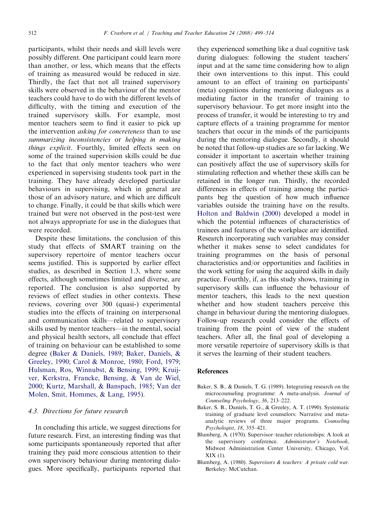<span id="page-13-0"></span>participants, whilst their needs and skill levels were possibly different. One participant could learn more than another, or less, which means that the effects of training as measured would be reduced in size. Thirdly, the fact that not all trained supervisory skills were observed in the behaviour of the mentor teachers could have to do with the different levels of difficulty, with the timing and execution of the trained supervisory skills. For example, most mentor teachers seem to find it easier to pick up the intervention asking for concreteness than to use summarizing inconsistencies or helping in making things explicit. Fourthly, limited effects seen on some of the trained supervision skills could be due to the fact that only mentor teachers who were experienced in supervising students took part in the training. They have already developed particular behaviours in supervising, which in general are those of an advisory nature, and which are difficult to change. Finally, it could be that skills which were trained but were not observed in the post-test were not always appropriate for use in the dialogues that were recorded.

Despite these limitations, the conclusion of this study that effects of SMART training on the supervisory repertoire of mentor teachers occur seems justified. This is supported by earlier effect studies, as described in Section 1.3, where some effects, although sometimes limited and diverse, are reported. The conclusion is also supported by reviews of effect studies in other contexts. These reviews, covering over 300 (quasi-) experimental studies into the effects of training on interpersonal and communication skills—related to supervisory skills used by mentor teachers—in the mental, social and physical health sectors, all conclude that effect of training on behaviour can be established to some degree (Baker & Daniels, 1989; Baker, Daniels, & Greeley, 1990; [Carol & Monroe, 1980;](#page-14-0) [Ford, 1979;](#page-14-0) [Hulsman, Ros, Winnubst,](#page-14-0) & [Bensing, 1999;](#page-14-0) [Kruij](#page-15-0)[ver, Kerkstra, Francke, Bensing, & Van de Wiel,](#page-15-0) [2000](#page-15-0); [Kurtz, Marshall,](#page-15-0) & [Banspach, 1985](#page-15-0); [Van der](#page-15-0) [Molen, Smit, Hommes,](#page-15-0) & [Lang, 1995](#page-15-0)).

## 4.3. Directions for future research

In concluding this article, we suggest directions for future research. First, an interesting finding was that some participants spontaneously reported that after training they paid more conscious attention to their own supervisory behaviour during mentoring dialogues. More specifically, participants reported that

they experienced something like a dual cognitive task during dialogues: following the student teachers' input and at the same time considering how to align their own interventions to this input. This could amount to an effect of training on participants' (meta) cognitions during mentoring dialogues as a mediating factor in the transfer of training to supervisory behaviour. To get more insight into the process of transfer, it would be interesting to try and capture effects of a training programme for mentor teachers that occur in the minds of the participants during the mentoring dialogue. Secondly, it should be noted that follow-up studies are so far lacking. We consider it important to ascertain whether training can positively affect the use of supervisory skills for stimulating reflection and whether these skills can be retained in the longer run. Thirdly, the recorded differences in effects of training among the participants beg the question of how much influence variables outside the training have on the results. [Holton and Baldwin \(2000\)](#page-14-0) developed a model in which the potential influences of characteristics of trainees and features of the workplace are identified. Research incorporating such variables may consider whether it makes sense to select candidates for training programmes on the basis of personal characteristics and/or opportunities and facilities in the work setting for using the acquired skills in daily practice. Fourthly, if, as this study shows, training in supervisory skills can influence the behaviour of mentor teachers, this leads to the next question whether and how student teachers perceive this change in behaviour during the mentoring dialogues. Follow-up research could consider the effects of training from the point of view of the student teachers. After all, the final goal of developing a more versatile repertoire of supervisory skills is that it serves the learning of their student teachers.

#### **References**

- Baker, S. B., & Daniels, T. G. (1989). Integrating research on the microcounseling programme: A meta-analysis. Journal of Counseling Psychology, 36, 213–222.
- Baker, S. B., Daniels, T. G., & Greeley, A. T. (1990). Systematic training of graduate level counselors: Narrative and metaanalytic reviews of three major programs. Counseling Psychologist, 18, 355–421.
- Blumberg, A. (1970). Supervisor–teacher relationships: A look at the supervisory conference. Administrator's Notebook, Midwest Administration Center University, Chicago, Vol. XIX (1).
- Blumberg, A. (1980). Supervisors & teachers: A private cold war. Berkeley: McCutchan.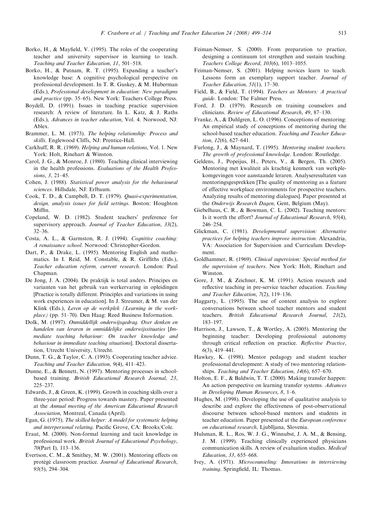- <span id="page-14-0"></span>Borko, H., & Mayfield, V. (1995). The roles of the cooperating teacher and university supervisor in learning to teach. Teaching and Teacher Education, 11, 501–518.
- Borko, H., & Putnam, R. T. (1995). Expanding a teacher's knowledge base: A cognitive psychological perspective on professional development. In T. R. Guskey, & M. Huberman (Eds.), Professional development in education: New paradigms and practice (pp. 35–65). New York: Teachers College Press.
- Boydell, D. (1991). Issues in teaching practice supervision research: A review of literature. In L. Katz, & J. Raths (Eds.), Advances in teacher education, Vol. 4. Norwood, NJ: Ablex.
- Brammer, L. M. (1973). The helping relationship: Process and skills. Englewood Cliffs, NJ: Prentice-Hall.
- Carkhuff, R. R. (1969). Helping and human relations, Vol. 1. New York: Holt, Rinehart & Winston.
- Carol, J. G., & Monroe, J. (1980). Teaching clinical interviewing in the health professions. Evaluations of the Health Professions, 3, 21–45.
- Cohen, J. (1988). Statistical power analysis for the behavioural sciences. Hillsdale, NJ: Erlbaum.
- Cook, T. D., & Campbell, D. T. (1979). Quasi-experimentation, design, analysis issues for field settings. Boston: Houghton Miffin.
- Copeland, W. D. (1982). Student teachers' preference for supervisory approach. Journal of Teacher Education, 33(2), 32–36.
- Costa, A. L., & Garmston, R. J. (1994). Cognitive coaching: A renaissance school. Norwood: Christopher-Gordon.
- Dart, P., & Drake, L. (1995). Mentoring English and mathematics. In I. Reid, M. Constable, & R. Griffiths (Eds.), Teacher education reform, current research. London: Paul Chapman.
- De Jong, J. A. (2004). De praktijk is total anders. Principes en varianten van het gebruik van werkervaring in opleidingen [Practice is totally different. Principles and variations in using work experiences in education]. In J. Streumer, & M. van der Klink (Eds.), Leren op de werkplek (Learning in the workplace) (pp. 51–70). Den Haag: Reed Business Information.
- Dolk, M. (1997). Onmiddellijk onderwijsgedrag. Over denken en handelen van leraren in onmiddelijke onderwijssituaties [Immediate teaching behaviour: On teacher knowledge and behaviour in immediate teaching situations]. Doctoral dissertation, Utrecht University, Utrecht.
- Dunn, T. G., & Taylor, C. A. (1993). Cooperating teacher advice. Teaching and Teacher Education, 9(4), 411–423.
- Dunne, E., & Bennett, N. (1997). Mentoring processes in schoolbased training. British Educational Research Journal, 23, 225–237.
- Edwards, J., & Green, K. (1999). Growth in coaching skills over a three-year period: Progress towards mastery. Paper presented at the Annual meeting of the American Educational Research Association, Montreal, Canada (April).
- Egan, G. (1975). The skilled helper: A model for systematic helping and interpersonal relating. Pacific Grove, CA: Brooks/Cole.
- Eraut, M. (2000). Non-formal learning and tacit knowledge in professional work. British Journal of Educational Psychology, 70(Part I), 113–136.
- Evertson, C. M., & Smithey, M. W. (2001). Mentoring effects on protégé classroom practice. Journal of Educational Research, 93(5), 294–304.
- Feiman-Nemser, S. (2000). From preparation to practice, designing a continuum tot strengthen and sustain teaching. Teachers College Record, 103(6), 1013–1055.
- Feiman-Nemser, S. (2001). Helping novices learn to teach. Lessons form an exemplary support teacher. Journal of Teacher Education, 51(1), 17–30.
- Field, B., & Field, T. (1994). Teachers as Mentors: A practical guide. London: The Falmer Press.
- Ford, J. D. (1979). Research on training counselors and clinicians. Review of Educational Research, 49, 87–130.
- Franke, A., & Dahlgren, L. O. (1996). Conceptions of mentoring: An empirical study of conceptions of mentoring during the school-based teacher education. Teaching and Teacher Education, 12(6), 627–641.
- Furlong, J., & Maynard, T. (1995). Mentoring student teachers. The growth of professional knowledge. London: Routledge.
- Geldens, J., Popeijus, H., Peters, V., & Bergen, Th. (2005). Mentoring met kwaliteit als krachtig kenmerk van werkplekomgevingen voor aanstaande leraren. Analyseresultaten van mentoringsgesprekken [The quality of mentoring as a feature of effective workplace environments for prospective teachers. Analyzing results of mentoring dialogues]. Paper presented at the Onderwijs Research Dagen, Gent, Belgium (May).
- Giebelhaus, C. R., & Bowman, C. L. (2002). Teaching mentors: Is it worth the effort? Journal of Educational Research, 95(4), 246–254.
- Glickman, C. (1981). Developmental supervision: Alternative practices for helping teachers improve instruction. Alexandria, VA: Association for Supervision and Curriculum Development.
- Goldhammer, R. (1969). Clinical supervision: Special method for the supervision of teachers. New York: Holt, Rinehart and Winston.
- Gore, J. M., & Zeichner, K. M. (1991). Action research and reflective teaching in pre-service teacher education. Teaching and Teacher Education, 7(2), 119–136.
- Haggarty, L. (1995). The use of content analysis to explore conversations between school teacher mentors and student teachers. British Educational Research Journal, 21(2), 183–197.
- Harrison, J., Lawson, T., & Wortley, A. (2005). Mentoring the beginning teacher: Developing professional autonomy through critical reflection on practice. Reflective Practice, 6(3), 419–441.
- Hawkey, K. (1998). Mentor pedagogy and student teacher professional development: A study of two mentoring relationships. Teaching and Teacher Education, 14(6), 657-670.
- Holton, E. F., & Baldwin, T. T. (2000). Making transfer happen: An action perspective on learning transfer systems. Advances in Developing Human Resources, 8, 1–6.
- Hughes, M. (1998). Developing the use of qualitative analysis to describe and explore the effectiveness of post-observational discourse between school-based mentors and students in teacher education. Paper presented at the European conference on educational research, Ljublljana, Slovenia.
- Hulsman, R. L., Ros, W. J. G., Winnubst, J. A. M., & Bensing, J. M. (1999). Teaching clinically experienced physicians communication skills. A review of evaluation studies. Medical Education, 33, 655–668.
- Ivey, A. (1971). Microcounseling: Innovations in interviewing training. Springfield, IL: Thomas.